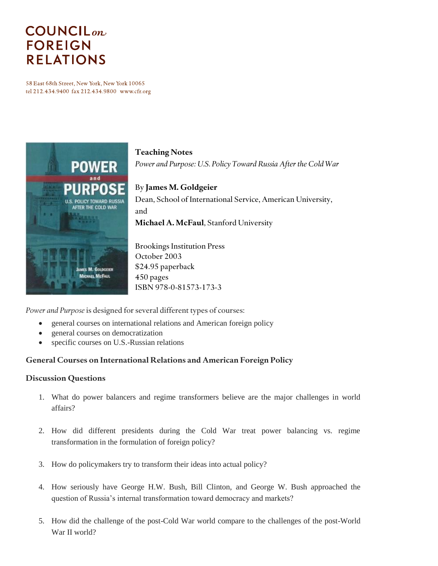# **COUNCIL**<sub>on</sub> **FOREIGN RELATIONS**

58 East 68th Street, New York, New York 10065 tel 212.434.9400 fax 212.434.9800 www.cfr.org



# **Teaching Notes** *Power and Purpose: U.S. Policy Toward Russia After the Cold War* By **James M. Goldgeier**

Dean, School of International Service, American University, and **Michael A. McFaul**, Stanford University

Brookings Institution Press October 2003 \$24.95 paperback 450 pages ISBN 978-0-81573-173-3

*Power and Purpose* is designed for several different types of courses:

- general courses on international relations and American foreign policy
- general courses on democratization
- specific courses on U.S.-Russian relations

## **General Courses on International Relations and American Foreign Policy**

#### **Discussion Questions**

- 1. What do power balancers and regime transformers believe are the major challenges in world affairs?
- 2. How did different presidents during the Cold War treat power balancing vs. regime transformation in the formulation of foreign policy?
- 3. How do policymakers try to transform their ideas into actual policy?
- 4. How seriously have George H.W. Bush, Bill Clinton, and George W. Bush approached the question of Russia's internal transformation toward democracy and markets?
- 5. How did the challenge of the post-Cold War world compare to the challenges of the post-World War II world?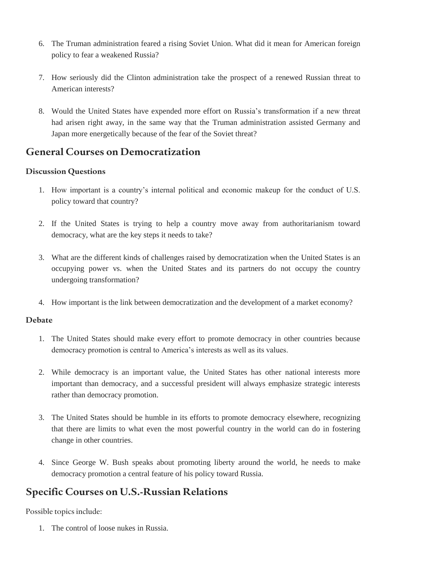- 6. The Truman administration feared a rising Soviet Union. What did it mean for American foreign policy to fear a weakened Russia?
- 7. How seriously did the Clinton administration take the prospect of a renewed Russian threat to American interests?
- 8. Would the United States have expended more effort on Russia's transformation if a new threat had arisen right away, in the same way that the Truman administration assisted Germany and Japan more energetically because of the fear of the Soviet threat?

## **General Courses on Democratization**

## **Discussion Questions**

- 1. How important is a country's internal political and economic makeup for the conduct of U.S. policy toward that country?
- 2. If the United States is trying to help a country move away from authoritarianism toward democracy, what are the key steps it needs to take?
- 3. What are the different kinds of challenges raised by democratization when the United States is an occupying power vs. when the United States and its partners do not occupy the country undergoing transformation?
- 4. How important is the link between democratization and the development of a market economy?

## **Debate**

- 1. The United States should make every effort to promote democracy in other countries because democracy promotion is central to America's interests as well as its values.
- 2. While democracy is an important value, the United States has other national interests more important than democracy, and a successful president will always emphasize strategic interests rather than democracy promotion.
- 3. The United States should be humble in its efforts to promote democracy elsewhere, recognizing that there are limits to what even the most powerful country in the world can do in fostering change in other countries.
- 4. Since George W. Bush speaks about promoting liberty around the world, he needs to make democracy promotion a central feature of his policy toward Russia.

## **Specific Courses on U.S.-Russian Relations**

Possible topics include:

1. The control of loose nukes in Russia.